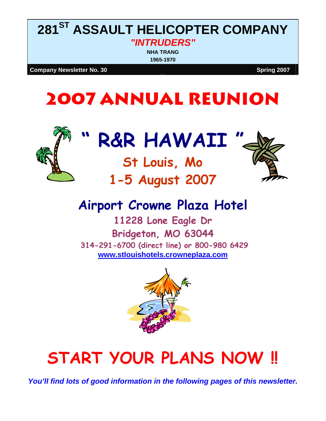## **281ST ASSAULT HELICOPTER COMPANY**  *"INTRUDERS"*

**NHA TRANG 1965-1970**

**Company Newsletter No. 30 Spring 2007** Spring 2007

## **2007 ANNUAL REUNION**



# R&R HAWAII

**St Louis, Mo** 

**1-5 August 2007** 



## **Airport Crowne Plaza Hotel**

**11228 Lone Eagle Dr Bridgeton, MO 63044 314-291-6700 (direct line) or 800-980 6429 [www.stlouishotels.crowneplaza.com](http://www.stlouishotels.crowneplaza.com/)**



# **START YOUR PLANS NOW !!**

*You'll find lots of good information in the following pages of this newsletter.*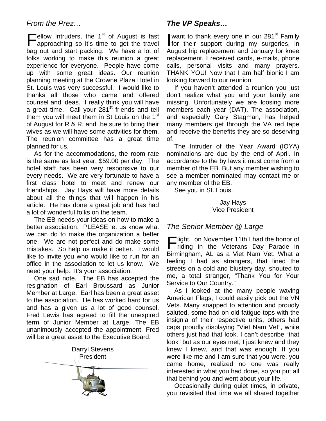#### *From the Prez…*

Fellow Intruders, the  $1<sup>st</sup>$  of August is fast approaching so it's time to get the travel approaching so it's time to get the travel bag out and start packing. We have a lot of folks working to make this reunion a great experience for everyone. People have come up with some great ideas. Our reunion planning meeting at the Crowne Plaza Hotel in St. Louis was very successful. I would like to thanks all those who came and offered counsel and ideas. I really think you will have a great time. Call your 281<sup>st</sup> friends and tell them you will meet them in St Louis on the 1<sup>st</sup> of August for R & R, and be sure to bring their wives as we will have some activities for them. The reunion committee has a great time planned for us.

As for the accommodations, the room rate is the same as last year, \$59.00 per day. The hotel staff has been very responsive to our every needs. We are very fortunate to have a first class hotel to meet and renew our friendships. Jay Hays will have more details about all the things that will happen in his article. He has done a great job and has had a lot of wonderful folks on the team.

The EB needs your ideas on how to make a better association. PLEASE let us know what we can do to make the organization a better one. We are not perfect and do make some mistakes. So help us make it better. I would like to invite you who would like to run for an office in the association to let us know. We need your help. It's your association.

One sad note. The EB has accepted the resignation of Earl Broussard as Junior Member at Large. Earl has been a great asset to the association. He has worked hard for us and has a given us a lot of good counsel. Fred Lewis has agreed to fill the unexpired term of Junior Member at Large. The EB unanimously accepted the appointment. Fred will be a great asset to the Executive Board.



#### *The VP Speaks…*

want to thank every one in our 281<sup>st</sup> Family for their support during my surgeries, in August hip replacement and January for knee replacement. I received cards, e-mails, phone calls, personal visits and many prayers. THANK YOU! Now that I am half bionic I am looking forward to our reunion.

If you haven't attended a reunion you just don't realize what you and your family are missing. Unfortunately we are loosing more members each year (DAT). The association, and especially Gary Stagman, has helped many members get through the VA red tape and receive the benefits they are so deserving of.

The Intruder of the Year Award (IOYA) nominations are due by the end of April. In accordance to the by laws it must come from a member of the EB. But any member wishing to see a member nominated may contact me or any member of the EB.

See you in St. Louis.

Jay Hays Vice President

#### *The Senior Member @ Large*

Flight, on November 11th I had the honor of<br>
riding in the Veterans Day Parade in riding in the Veterans Day Parade in Birmingham, AL as a Viet Nam Vet. What a feeling I had as strangers, that lined the streets on a cold and blustery day, shouted to me, a total stranger, "Thank You for Your Service to Our Country."

As I looked at the many people waving American Flags, I could easily pick out the VN Vets. Many snapped to attention and proudly saluted, some had on old fatigue tops with the insignia of their respective units, others had caps proudly displaying "Viet Nam Vet", while others just had that look. I can't describe "that look" but as our eyes met, I just knew and they knew I knew, and that was enough. If you were like me and I am sure that you were, you came home, realized no one was really interested in what you had done, so you put all that behind you and went about your life.

Occasionally during quiet times, in private, you revisited that time we all shared together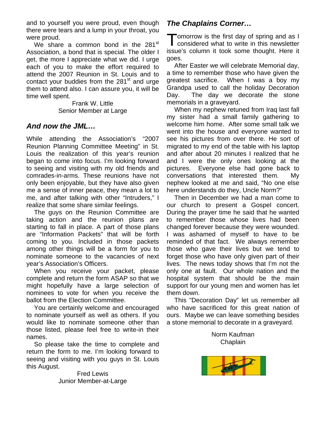and to yourself you were proud, even though there were tears and a lump in your throat, you were proud.

We share a common bond in the  $281<sup>st</sup>$ Association, a bond that is special. The older I get, the more I appreciate what we did. I urge each of you to make the effort required to attend the 2007 Reunion in St. Louis and to contact your buddies from the  $281<sup>st</sup>$  and urge them to attend also. I can assure you, it will be time well spent.

Senior Member at Large

#### *And now the JML…*

While attending the Association's "2007 Reunion Planning Committee Meeting" in St. Louis the realization of this year's reunion began to come into focus. I'm looking forward to seeing and visiting with my old friends and comrades-in-arms. These reunions have not only been enjoyable, but they have also given me a sense of inner peace, they mean a lot to me, and after talking with other "Intruders," I realize that some share similar feelings.

The guys on the Reunion Committee are taking action and the reunion plans are starting to fall in place. A part of those plans are "Information Packets" that will be forth coming to you. Included in those packets among other things will be a form for you to nominate someone to the vacancies of next year's Association's Officers.

When you receive your packet, please complete and return the form ASAP so that we might hopefully have a large selection of nominees to vote for when you receive the ballot from the Election Committee. This "Decoration Day" let us remember all

You are certainly welcome and encouraged to nominate yourself as well as others. If you would like to nominate someone other than those listed, please feel free to write-in their mese meted, predecision is to the matrix means in the matrix of the Norm Kaufman Norm Kaufman So please take the time to complete and

So please take the time to complete and return the form to me. I'm looking forward to seeing and visiting with you guys in St. Louis this August.

> Fred Lewis Junior Member-at-Large

### *The Chaplains Corner…*

 $\blacksquare$  omorrow is the first day of spring and as I considered what to write in this newsletter issue's column it took some thought. Here it goes.

After Easter we will celebrate Memorial day, a time to remember those who have given the greatest sacrifice. When I was a boy my Grandpa used to call the holiday Decoration Day. The day we decorate the stone Frank W. Little **Example 1** memorials in a graveyard.

When my nephew retuned from Iraq last fall my sister had a small family gathering to welcome him home. After some small talk we went into the house and everyone wanted to see his pictures from over there. He sort of migrated to my end of the table with his laptop and after about 20 minutes I realized that he and I were the only ones looking at the pictures. Everyone else had gone back to conversations that interested them. My nephew looked at me and said, "No one else here understands do they, Uncle Norm?"

Then in December we had a man come to our church to present a Gospel concert. During the prayer time he said that he wanted to remember those whose lives had been changed forever because they were wounded. I was ashamed of myself to have to be reminded of that fact. We always remember those who gave their lives but we tend to forget those who have only given part of their lives. The news today shows that I'm not the only one at fault. Our whole nation and the hospital system that should be the main support for our young men and women has let them down.

who have sacrificed for this great nation of ours. Maybe we can leave something besides a stone memorial to decorate in a graveyard.

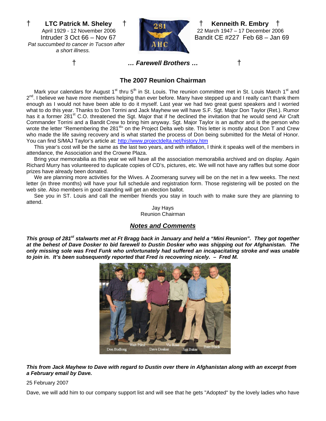† **LTC Patrick M. Sheley** † † **Kenneith R. Embry** †  *Pat succumbed to cancer in Tucson after a short illness.* 



 April 1929 - 12 November 2006 22 March 1947 – 17 December 2006 Intruder 3 Oct 66 – Nov 67 Bandit CE #227 Feb 68 – Jan 69

† *… Farewell Brothers …*†

#### **The 2007 Reunion Chairman**

Mark your calendars for August 1<sup>st</sup> thru 5<sup>th</sup> in St. Louis. The reunion committee met in St. Louis March 1<sup>st</sup> and  $2^{nd}$ . I believe we have more members helping than ever before. Many have stepped up and I really can't thank them enough as I would not have been able to do it myself. Last year we had two great guest speakers and I worried what to do this year. Thanks to Don Torrini and Jack Mayhew we will have S.F. Sgt. Major Don Taylor (Ret.). Rumor has it a former 281<sup>st</sup> C.O. threatened the Sqt. Major that if he declined the invitation that he would send Air Craft Commander Torrini and a Bandit Crew to bring him anyway. Sgt. Major Taylor is an author and is the person who wrote the letter "Remembering the 281<sup>st</sup>" on the Project Delta web site. This letter is mostly about Don T and Crew who made the life saving recovery and is what started the process of Don being submitted for the Metal of Honor. You can find S/MAJ Taylor's article at:<http://www.projectdelta.net/history.htm>

This year's cost will be the same as the last two years, and with inflation, I think it speaks well of the members in attendance, the Association and the Crowne Plaza.

Bring your memorabilia as this year we will have all the association memorabilia archived and on display. Again Richard Murry has volunteered to duplicate copies of CD's, pictures, etc. We will not have any raffles but some door prizes have already been donated.

We are planning more activities for the Wives. A Zoomerang survey will be on the net in a few weeks. The next letter (in three months) will have your full schedule and registration form. Those registering will be posted on the web site. Also members in good standing will get an election ballot.

See you in ST. Louis and call the member friends you stay in touch with to make sure they are planning to attend.

> Jay Hays Reunion Chairman

#### *Notes and Comments*

*This group of 281<sup>st</sup> stalwarts met at Ft Bragg back in January and held a "Mini Reunion". They got together at the behest of Dave Dosker to bid farewell to Dustin Dosker who was shipping out for Afghanistan. The only missing sole was Fred Funk who unfortunately had suffered an incapacitating stroke and was unable to join in. It's been subsequently reported that Fred is recovering nicely. – Fred M.* 



*This from Jack Mayhew to Dave with regard to Dustin over there in Afghanistan along with an excerpt from a February email by Dave.* 

#### 25 February 2007

Dave, we will add him to our company support list and will see that he gets "Adopted" by the lovely ladies who have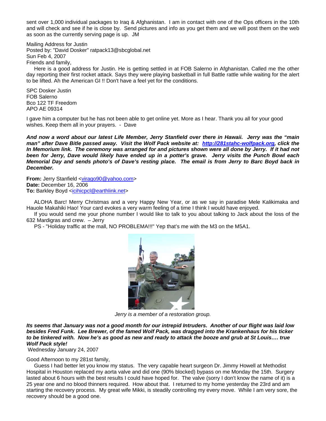sent over 1,000 individual packages to Iraq & Afghanistan. I am in contact with one of the Ops officers in the 10th and will check and see if he is close by. Send pictures and info as you get them and we will post them on the web as soon as the currently serving page is up. JM

Mailing Address for Justin Posted by: "David Dosker" ratpack13@sbcglobal.net Sun Feb 4, 2007 Friends and family,

Here is a good address for Justin. He is getting settled in at FOB Salerno in Afghanistan. Called me the other day reporting their first rocket attack. Says they were playing basketball in full Battle rattle while waiting for the alert to be lifted. Ah the American GI !! Don't have a feel yet for the conditions.

SPC Dosker Justin FOB Salerno Bco 122 TF Freedom APO AE 09314

I gave him a computer but he has not been able to get online yet. More as I hear. Thank you all for your good wishes. Keep them all in your prayers. - Dave

*And now a word about our latest Life Member, Jerry Stanfield over there in Hawaii. Jerry was the "main man" after Dave Bitle passed away. Visit the Wolf Pack website at: [http://281stahc-wolfpack.org,](http://281stahc-wolfpack.org/) click the In Memorium link. The ceremony was arranged for and pictures shown were all done by Jerry. If it had not been for Jerry, Dave would likely have ended up in a potter's grave. Jerry visits the Punch Bowl each Memorial Day and sends photo's of Dave's resting place. The email is from Jerry to Barc Boyd back in December.* 

**From:** Jerry Stanfield [<virago90@yahoo.com>](mailto:virago90@yahoo.com) **Date:** December 16, 2006 **To: Barkley Boyd <[icihicpcl@earthlink.net](mailto:icihicpcl@earthlink.net)>** 

ALOHA Barc! Merry Christmas and a very Happy New Year, or as we say in paradise Mele Kalikimaka and Hauole Makahiki Hao! Your card evokes a very warm feeling of a time I think I would have enjoyed.

If you would send me your phone number I would like to talk to you about talking to Jack about the loss of the 632 Mardigras and crew. – Jerry

PS - "Holiday traffic at the mall, NO PROBLEMA!!!" Yep that's me with the M3 on the M5A1.



*Jerry is a member of a restoration group.* 

*Its seems that January was not a good month for our intrepid Intruders. Another of our flight was laid low besides Fred Funk. Lee Brewer, of the famed Wolf Pack, was dragged into the Krankenhaus for his ticker to be tinkered with. Now he's as good as new and ready to attack the booze and grub at St Louis…. true Wolf Pack style!* 

Wednesday January 24, 2007

#### Good Afternoon to my 281st family,

Guess I had better let you know my status. The very capable heart surgeon Dr. Jimmy Howell at Methodist Hospital in Houston replaced my aorta valve and did one (90% blocked) bypass on me Monday the 15th. Surgery lasted about 6 hours with the best results I could have hoped for. The valve (sorry I don't know the name of it) is a 25 year one and no blood thinners required. How about that. I returned to my home yesterday the 23rd and am starting the recovery process. My great wife Mikki, is steadily controlling my every move. While I am very sore, the recovery should be a good one.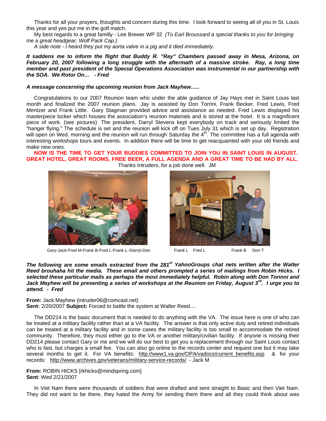Thanks for all your prayers, thoughts and concern during this time. I look forward to seeing all of you in St. Louis this year and yes put me in the golf match.

My best regards to a great familly - Lee Brewer WP 32 *(To Earl Broussard a special thanks to you for bringing me a great headgear; Wolf Pack Cap.)* 

*A side note - I heard they put my aorta valve in a pig and it died immediately.* 

*It saddens me to inform the flight that Buddy R. "Ray" Chambers passed away in Mesa, Arizona, on February 20, 2007 following a long struggle with the aftermath of a massive stroke. Ray, a long time member and past president of the Special Operations Association was instrumental in our partnership with the SOA. We Rotor On… - Fred* 

#### *A message concerning the upcoming reunion from Jack Mayhew…..*

Congratulations to our 2007 Reunion team who under the able guidance of Jay Hays met in Saint Louis last month and finalized the 2007 reunion plans. Jay is assisted by Don Torrini, Frank Becker, Fred Lewis, Fred Mentzer and Frank Little. Gary Stagman provided advice and assistance as needed. Fred Lewis displayed his masterpiece locker which houses the association's reunion materials and is stored at the hotel. It is a magnificent piece of work. (see pictures) The president, Darryl Stevens kept everybody on track and seriously limited the "hanger flying." The schedule is set and the reunion will kick off on Tues July 31 which is set up day. Registration will open on Wed. morning and the reunion will run through Saturday the 4<sup>th</sup>. The committee has a full agenda with interesting workshops tours and events. In addition there will be time to get reacquainted with your old friends and make new ones.

#### **NOW IS THE TIME TO GET YOUR BUDDIES COMMITTED TO JOIN YOU IN SAINT LOUIS IN AUGUST. GREAT HOTEL, GREAT ROOMS, FREE BEER, A FULL AGENDA AND A GREAT TIME TO BE HAD BY ALL.** Thanks Intruders, for a job done well. JM



Gary-Jack-Fred M-Frank B-Fred L-Frank L–Darryl-Don Frank L Fred L Frank B Don T



The following are some emails extracted from the 281<sup>st</sup> YahooGroups chat nets written after the Walter *Reed brouhaha hit the media. These email and others prompted a series of mailings from Robin Hicks. I selected these particular mails as perhaps the most immediately helpful. Robin along with Don Torinni and Jack Mayhew will be presenting a series of workshops at the Reunion on Friday, August 3rd. I urge you to attend. - Fred* 

**From:** Jack Mayhew (intruder06@comcast.net) Sent: 2/20/2007 Subject: Forced to battle the system at Walter Reed....

The DD214 is the basic document that is needed to do anything with the VA. The issue here is one of who can be treated at a military facility rather than at a VA facility. The answer is that only active duty and retired individuals can be treated at a military facility and in some cases the military facility is too small to accommodate the retired community. Therefore, they must either go to the VA or another military/civilian facility. If anyone is missing their DD214 please contact Gary or me and we will do our best to get you a replacement through our Saint Louis contact who is fast, but charges a small fee. You can also go online to the records center and request one but it may take several months to get it. For VA benefits: [http://www1.va.gov/OPA/vadocs/current\\_benefits.asp](http://www1.va.gov/OPA/vadocs/current_benefits.asp) & for your records: <http://www.archives.gov/veterans/military-service-records/>- Jack M

**From:** ROBIN HICKS [rkhicks@mindspring.com] **Sent**: Wed 2/21/2007

In Viet Nam there were thousands of soldiers that were drafted and sent straight to Basic and then Viet Nam. They did not want to be there, they hated the Army for sending them there and all they could think about was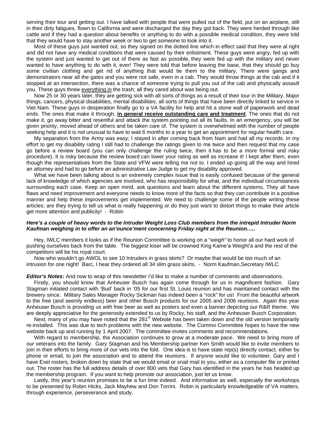serving their tour and getting out. I have talked with people that were pulled out of the field, put on an airplane, still in their dirty fatigues, flown to California and were discharged the day they got back. They were herded through like cattle and if they had a question about benefits or anything to do with a possible medical condition, they were told that they would have to stay another week or two to get someone to look into it.

Most of these guys just wanted out, so they signed on the dotted line which in effect said that they were al right and did not have any medical conditions that were caused by their enlistment. These guys were angry, fed up with the system and just wanted to get out of there as fast as possible, they were fed up with the military and never wanted to have anything to do with it, ever! They were told that before leaving the base, that they should go buy some civilian clothing and get rid of anything that would tie them to the military. There were gangs and demonstrators near all the gates and you were not safe, even in a cab. They would throw things at the cab and if it stopped at an intersection, there was a chance of someone trying to pull you out of the cab and physically assault you. These guys threw everything in the trash; all they cared about was being out.

Now 25 or 30 years later, they are getting sick with all sorts of things as a result of their tour in the Military. Major things, cancers, physical disabilities, mental disabilities, all sorts of things that have been directly linked to service in Viet Nam. These guys in desperation finally go to a VA facility for help and hit a stone wall of paperwork and dead ends. The ones that make it through, **in general receive outstanding care and treatment**. The ones that do not make it, go away bitter and resentful and attack the system pointing out all its faults. In an emergency, you will be given priority, moved ahead of others and be taken care of. The system is overwhelmed with the number of people seeking help and it is not unusual to have to wait 6 months to a year to get an appointment for regular health care.

My separation from the Army was easy; I stayed in after coming back from Nam and had all my records. In my effort to get my disability rating I still had to challenge the ratings given to me twice and then request that my case go before a review board (you can only challenge the ruling twice, then it has to be a more formal and risky procedure). It is risky because the review board can lower your rating as well as increase it! I kept after them, even though the representatives from the State and VFW were telling me not to. I ended up going all the way and hired an attorney and had to go before an administrative Law Judge to get my disability approved.

What we have been talking about is an extremely complex issue that is easily confused because of the general lack of knowledge of which agencies are involved, who has responsibility for what, and the individual circumstances surrounding each case. Keep an open mind, ask questions and learn about the different systems. They all have flaws and need improvement and everyone needs to know more of the facts so that they can contribute in a positive manner and help these improvements get implemented. We need to challenge some of the people writing these articles; are they trying to tell us what is really happening or do they just want to distort things to make their article get more attention and publicity! - Robin

#### *Here's a couple of heavy words to the Intruder Weight Loss Club members from the intrepid Intruder Norm Kaufman weighing in to offer an an'ounce'ment concerning Friday night at the Reunion…..*

Hey, IWLC members it looks as if the Reunion Committee is working on a "*weigh"* to honor all our hard work of pushing ourselves back from the table. The biggest loser will be crowned King Kame'a Weight'a and the rest of the competitors will be his royal court.

Now who wouldn't go AWOL to see 10 Intruders in grass skirts? Or maybe that would be too much of an intrusion for one night! Barc, I hear they ordered all 34 slim grass skirts. - Norm Kaufman, Secretary IWLC

*Editor's Notes:* And now to wrap of this newsletter I'd like to make a number of comments and observations.

Firstly, you should know that Anheuser Busch has again come through for us in magnificent fashion. Gary Stagman initiated contact with 'Bud' back in '05 for our first St. Louis reunion and has maintained contact with the brewery since. Military Sales Manager Rocky Sickman has indeed been a "rock" for us! From the beautiful artwork to the free (and seemly endless) beer and other Busch products for our 2005 and 2006 reunions. Again this year Anheuser Busch is providing us with free beer as well as posters and even a banner depicting our R&R theme. We are deeply appreciative for the generosity extended to us by Rocky, his staff, and the Anheuser Busch Corporation.

Next, many of you may have noted that the 281<sup>st</sup> Website has been taken down and the old version temporarily re-installed. This was due to tech problems with the new website. The Commo Committee hopes to have the new website back up and running by 1 April 2007. The committee invites comments and recommendations.

With regard to membership, the Association continues to grow at a moderate pace. We need to bring more of our veterans into the family. Gary Stagman and his Membership partner Ken Smith would like to invite members to join in their efforts to bring more of our vets into the fold. One idea is to have state rep(s) directly contact, either by phone or email, to join the association and to attend the reunions. If anyone would like to volunteer, Gary and I have Exel rosters, broken down by state that we would email or snail mail to you, either as a computer file or printed out. The roster has the full address details of over 800 vets that Gary has identified in the years he has headed up the membership program. If you want to help promote our association, just let us know.

Lastly, this year's reunion promises to be a fun time indeed. And informative as well, especially the workshops to be presented by Robin Hicks, Jack Mayhew and Don Torrini. Robin is particularly knowledgeable of VA matters, through experience, perseverance and study.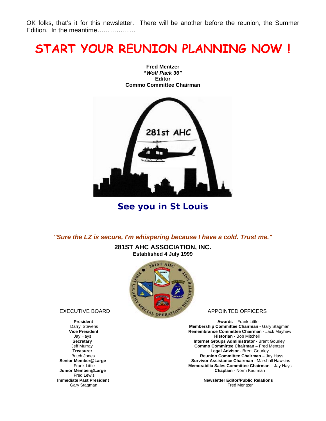OK folks, that's it for this newsletter. There will be another before the reunion, the Summer Edition. In the meantime.................

### **START YOUR REUNION PLANNING NOW !**



**Fred Mentzer "***Wolf Pack 36"*  **Editor Commo Committee Chairman** 

**See you in St Louis** 

*"Sure the LZ is secure, I'm whispering because I have a cold. Trust me."*

**281ST AHC ASSOCIATION, INC. Established 4 July 1999** 



**Fred Lewis**<br>**Immediate Past President** 

**President Awards – Frank Little Community Community Awards – Frank Little Awards – Frank Little Community Community Community Community Community Community Community Community Community Community Community Community Commu**  Darryl Stevens **Membership Committee Chairman -** Gary Stagman **Ce President Committee Chairman - Jack Mayhew Remembrance Committee Chairman - Jack Mayhew Jay Hays**  Jay Hays **Historian -** Bob Mitchell **Internet Groups Administrator - Brent Gourley**  Jeff Murray **Commo Committee Chairman –** Fred Mentzer **Treasurer Legal Advisor - Brent Gourley<br>Butch Jones Committee Chairman – January 2016 1999<br>Reunion Committee Chairman – January 2016** Butch Jones **Reunion Committee Chairman** – Jay Hays<br>**Senior Member@Large Manual Hawk Survivor Assistance Chairman** - Marshall Hawk **Survivor Assistance Chairman - Marshall Hawkins Frank Little <sup>n</sup>** *<b>Memorabilia Sales Committee Chairman* – Jay Hays  **Junior Member@Large Chaplain** - Norm Kaufman

**Newsletter Editor/Public Relations**<br>Fred Mentzer **Immediate Past President Newsletter Editor/Public I**<br>Gary Stagman **Fred Mentzer** Read Mentzer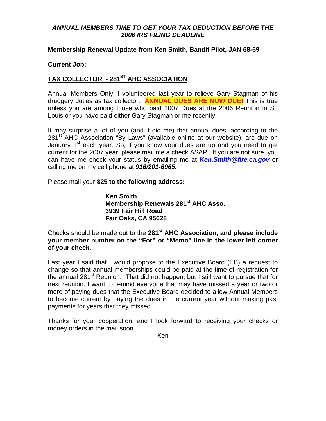#### *ANNUAL MEMBERS TIME TO GET YOUR TAX DEDUCTION BEFORE THE 2006 IRS FILING DEADLINE*

#### **Membership Renewal Update from Ken Smith, Bandit Pilot, JAN 68-69**

#### **Current Job:**

#### TAX COLLECTOR - 281<sup>ST</sup> AHC ASSOCIATION

Annual Members Only: I volunteered last year to relieve Gary Stagman of his drudgery duties as tax collector. **ANNUAL DUES ARE NOW DUE!** This is true unless you are among those who paid 2007 Dues at the 2006 Reunion in St. Louis or you have paid either Gary Stagman or me recently.

It may surprise a lot of you (and it did me) that annual dues, according to the 281<sup>st</sup> AHC Association "By Laws" (available online at our website), are due on January 1<sup>st</sup> each year. So, if you know your dues are up and you need to get current for the 2007 year, please mail me a check ASAP. If you are not sure, you can have me check your status by emailing me at *[Ken.Smith@fire.ca.gov](mailto:Ken.Smith@fire.ca.gov)* or calling me on my cell phone at *916/201-6965.* 

Please mail your **\$25 to the following address:**

**Ken Smith Membership Renewals 281<sup>st</sup> AHC Asso. 3939 Fair Hill Road Fair Oaks, CA 95628** 

Checks should be made out to the **281st AHC Association, and please include your member number on the "For" or "Memo" line in the lower left corner of your check.**

Last year I said that I would propose to the Executive Board (EB) a request to change so that annual memberships could be paid at the time of registration for the annual 281<sup>st</sup> Reunion. That did not happen, but I still want to pursue that for next reunion. I want to remind everyone that may have missed a year or two or more of paying dues that the Executive Board decided to allow Annual Members to become current by paying the dues in the current year without making past payments for years that they missed.

Thanks for your cooperation, and I look forward to receiving your checks or money orders in the mail soon.

Ken